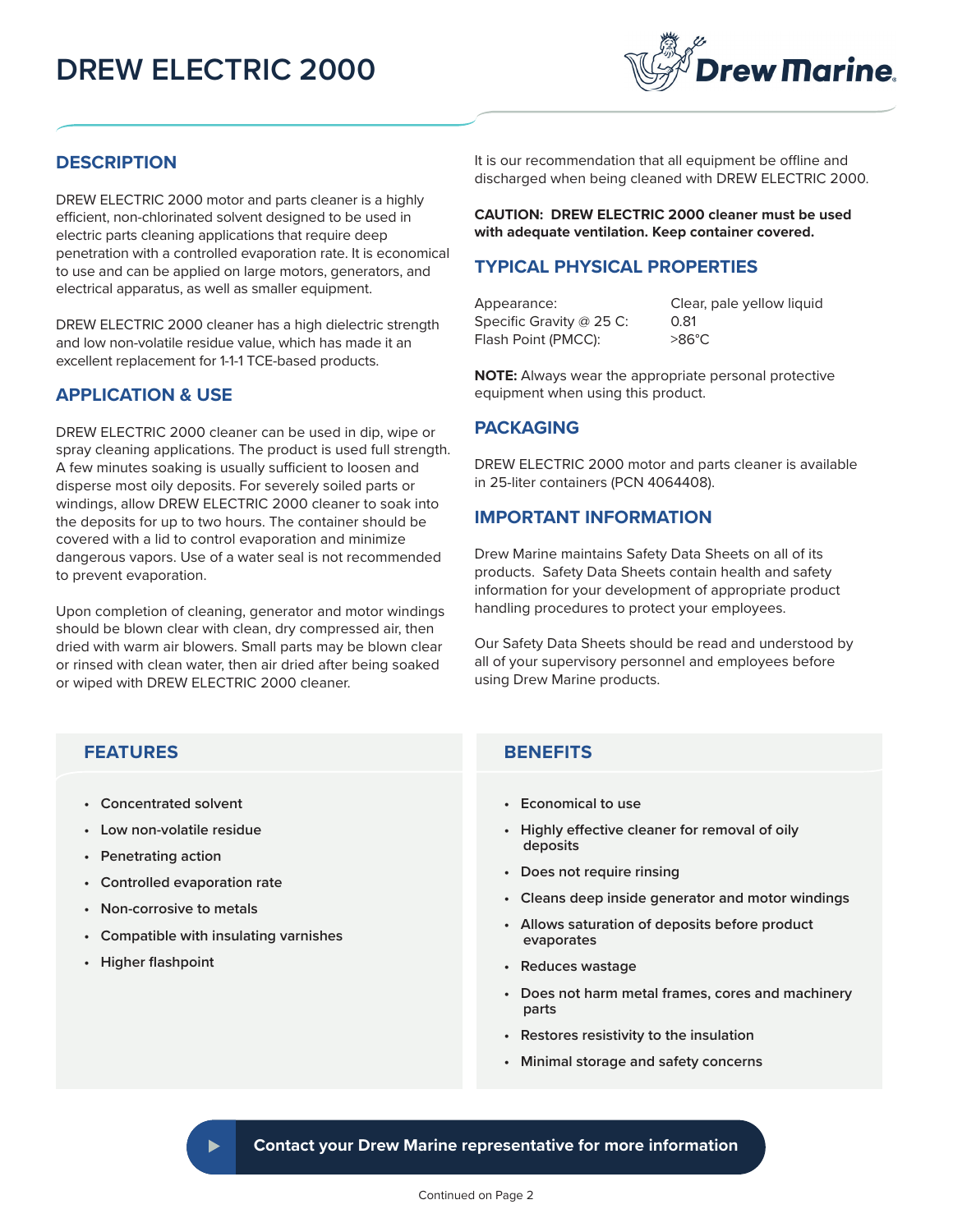# **DREW ELECTRIC 2000**



### **DESCRIPTION**

DREW ELECTRIC 2000 motor and parts cleaner is a highly efficient, non-chlorinated solvent designed to be used in electric parts cleaning applications that require deep penetration with a controlled evaporation rate. It is economical to use and can be applied on large motors, generators, and electrical apparatus, as well as smaller equipment.

DREW ELECTRIC 2000 cleaner has a high dielectric strength and low non-volatile residue value, which has made it an excellent replacement for 1-1-1 TCE-based products.

### **APPLICATION & USE**

DREW ELECTRIC 2000 cleaner can be used in dip, wipe or spray cleaning applications. The product is used full strength. A few minutes soaking is usually sufficient to loosen and disperse most oily deposits. For severely soiled parts or windings, allow DREW ELECTRIC 2000 cleaner to soak into the deposits for up to two hours. The container should be covered with a lid to control evaporation and minimize dangerous vapors. Use of a water seal is not recommended to prevent evaporation.

Upon completion of cleaning, generator and motor windings should be blown clear with clean, dry compressed air, then dried with warm air blowers. Small parts may be blown clear or rinsed with clean water, then air dried after being soaked or wiped with DREW ELECTRIC 2000 cleaner.

It is our recommendation that all equipment be offline and discharged when being cleaned with DREW ELECTRIC 2000.

**CAUTION: DREW ELECTRIC 2000 cleaner must be used with adequate ventilation. Keep container covered.**

### **TYPICAL PHYSICAL PROPERTIES**

Appearance: Clear, pale yellow liquid Specific Gravity @ 25 C: 0.81 Flash Point (PMCC): >86°C

**NOTE:** Always wear the appropriate personal protective equipment when using this product.

### **PACKAGING**

DREW ELECTRIC 2000 motor and parts cleaner is available in 25-liter containers (PCN 4064408).

#### **IMPORTANT INFORMATION**

Drew Marine maintains Safety Data Sheets on all of its products. Safety Data Sheets contain health and safety information for your development of appropriate product handling procedures to protect your employees.

Our Safety Data Sheets should be read and understood by all of your supervisory personnel and employees before using Drew Marine products.

## **BENEFITS FEATURES**

- **Concentrated solvent**
- **Low non-volatile residue**
- **Penetrating action**
- **Controlled evaporation rate**
- **Non-corrosive to metals**
- **Compatible with insulating varnishes**
- **Higher flashpoint**

- **Economical to use**
- **Highly effective cleaner for removal of oily deposits**
- **Does not require rinsing**
- **Cleans deep inside generator and motor windings**
- **Allows saturation of deposits before product evaporates**
- **Reduces wastage**
- **Does not harm metal frames, cores and machinery parts**
- **Restores resistivity to the insulation**
- **Minimal storage and safety concerns**

**Contact your Drew Marine representative for more information**